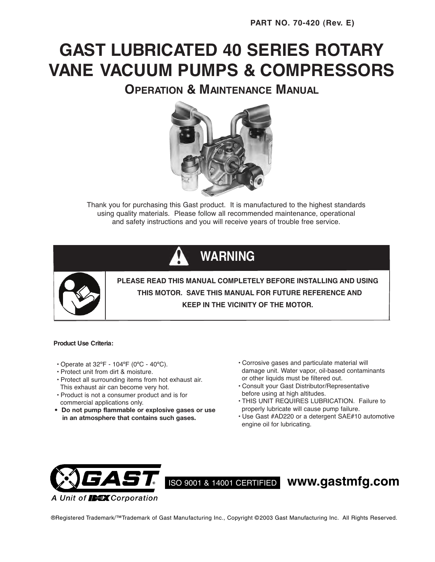# **GAST LUBRICATED 40 SERIES ROTARY VANE VACUUM PUMPS & COMPRESSORS**

**OPERATION & MAINTENANCE MANUAL**



Thank you for purchasing this Gast product. It is manufactured to the highest standards using quality materials. Please follow all recommended maintenance, operational and safety instructions and you will receive years of trouble free service.

# **WARNING**



**PLEASE READ THIS MANUAL COMPLETELY BEFORE INSTALLING AND USING THIS MOTOR. SAVE THIS MANUAL FOR FUTURE REFERENCE AND KEEP IN THE VICINITY OF THE MOTOR.**

#### **Product Use Criteria:**

- Operate at 32ºF 104ºF (0ºC 40ºC).
- Protect unit from dirt & moisture.
- Protect all surrounding items from hot exhaust air. This exhaust air can become very hot.
- Product is not a consumer product and is for commercial applications only.
- **Do not pump flammable or explosive gases or use in an atmosphere that contains such gases.**
- Corrosive gases and particulate material will damage unit. Water vapor, oil-based contaminants or other liquids must be filtered out.
- Consult your Gast Distributor/Representative before using at high altitudes.
- THIS UNIT REQUIRES LUBRICATION. Failure to properly lubricate will cause pump failure.
- Use Gast #AD220 or a detergent SAE#10 automotive engine oil for lubricating.



ISO 9001 & 14001 CERTIFIED **www.gastmfg.com**

®Registered Trademark/™Trademark of Gast Manufacturing Inc., Copyright © 2003 Gast Manufacturing Inc. All Rights Reserved.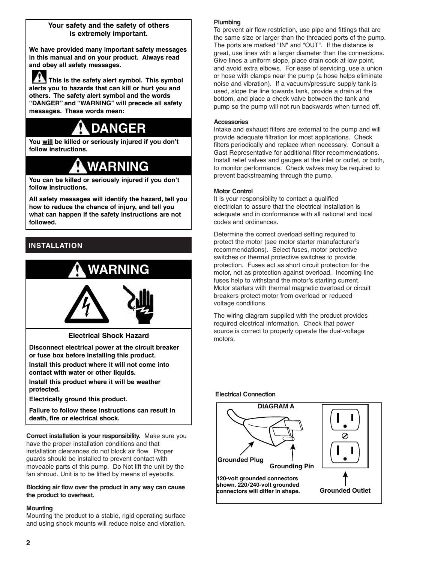## **Your safety and the safety of others is extremely important.**

**We have provided many important safety messages in this manual and on your product. Always read and obey all safety messages.**

**This is the safety alert symbol. This symbol alerts you to hazards that can kill or hurt you and others. The safety alert symbol and the words "DANGER" and "WARNING" will precede all safety messages. These words mean:**

# **DANGER**

**You will be killed or seriously injured if you don't follow instructions.**

# **WARNING**

**You can be killed or seriously injured if you don't follow instructions.**

**All safety messages will identify the hazard, tell you how to reduce the chance of injury, and tell you what can happen if the safety instructions are not followed.**

# **INSTALLATION**

# $\frac{A}{\frac{1}{2} \cdot \frac{1}{2} \cdot \frac{1}{2} \cdot \frac{1}{2} \cdot \frac{1}{2} \cdot \frac{1}{2} \cdot \frac{1}{2} \cdot \frac{1}{2} \cdot \frac{1}{2} \cdot \frac{1}{2} \cdot \frac{1}{2} \cdot \frac{1}{2} \cdot \frac{1}{2} \cdot \frac{1}{2} \cdot \frac{1}{2} \cdot \frac{1}{2} \cdot \frac{1}{2} \cdot \frac{1}{2} \cdot \frac{1}{2} \cdot \frac{1}{2} \cdot \frac{1}{2} \cdot \frac{1}{2} \cdot \frac{1}{2} \cdot \frac{1}{2} \$ **WARNING**

**Electrical Shock Hazard**

**Disconnect electrical power at the circuit breaker or fuse box before installing this product.**

**Install this product where it will not come into contact with water or other liquids.**

**Install this product where it will be weather protected.**

**Electrically ground this product.**

**Failure to follow these instructions can result in death, fire or electrical shock.**

**Correct installation is your responsibility.** Make sure you have the proper installation conditions and that installation clearances do not block air flow. Proper guards should be installed to prevent contact with moveable parts of this pump. Do Not lift the unit by the fan shroud. Unit is to be lifted by means of eyebolts.

#### **Blocking air flow over the product in any way can cause the product to overheat.**

## **Mounting**

Mounting the product to a stable, rigid operating surface and using shock mounts will reduce noise and vibration.

### **Plumbing**

To prevent air flow restriction, use pipe and fittings that are the same size or larger than the threaded ports of the pump. The ports are marked "IN" and "OUT". If the distance is great, use lines with a larger diameter than the connections. Give lines a uniform slope, place drain cock at low point, and avoid extra elbows. For ease of servicing, use a union or hose with clamps near the pump (a hose helps eliminate noise and vibration). If a vacuum/pressure supply tank is used, slope the line towards tank, provide a drain at the bottom, and place a check valve between the tank and pump so the pump will not run backwards when turned off.

#### **Accessories**

Intake and exhaust filters are external to the pump and will provide adequate filtration for most applications. Check filters periodically and replace when necessary. Consult a Gast Representative for additional filter recommendations. Install relief valves and gauges at the inlet or outlet, or both, to monitor performance. Check valves may be required to prevent backstreaming through the pump.

#### **Motor Control**

It is your responsibility to contact a qualified electrician to assure that the electrical installation is adequate and in conformance with all national and local codes and ordinances.

Determine the correct overload setting required to protect the motor (see motor starter manufacturer's recommendations). Select fuses, motor protective switches or thermal protective switches to provide protection. Fuses act as short circuit protection for the motor, not as protection against overload. Incoming line fuses help to withstand the motor's starting current. Motor starters with thermal magnetic overload or circuit breakers protect motor from overload or reduced voltage conditions.

The wiring diagram supplied with the product provides required electrical information. Check that power source is correct to properly operate the dual-voltage motors.

#### **Electrical Connection**

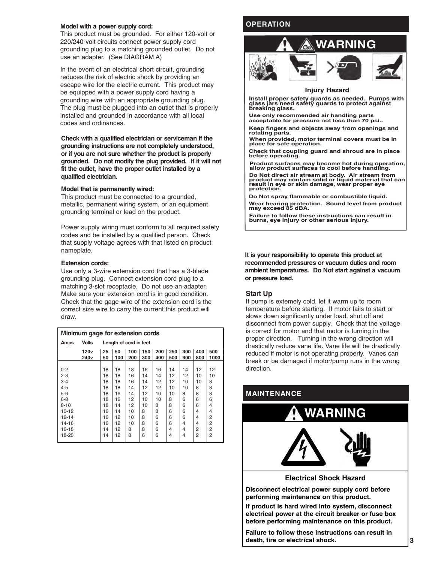#### **Model with a power supply cord:**

This product must be grounded. For either 120-volt or 220/240-volt circuits connect power supply cord grounding plug to a matching grounded outlet. Do not use an adapter. (See DIAGRAM A)

In the event of an electrical short circuit, grounding reduces the risk of electric shock by providing an escape wire for the electric current. This product may be equipped with a power supply cord having a grounding wire with an appropriate grounding plug. The plug must be plugged into an outlet that is properly installed and grounded in accordance with all local codes and ordinances.

**Check with a qualified electrician or serviceman if the grounding instructions are not completely understood, or if you are not sure whether the product is properly grounded. Do not modify the plug provided. If it will not fit the outlet, have the proper outlet installed by a qualified electrician.**

#### **Model that is permanently wired:**

This product must be connected to a grounded, metallic, permanent wiring system, or an equipment grounding terminal or lead on the product.

Power supply wiring must conform to all required safety codes and be installed by a qualified person. Check that supply voltage agrees with that listed on product nameplate.

#### **Extension cords:**

Use only a 3-wire extension cord that has a 3-blade grounding plug. Connect extension cord plug to a matching 3-slot receptacle. Do not use an adapter. Make sure your extension cord is in good condition. Check that the gage wire of the extension cord is the correct size wire to carry the current this product will draw.

| Minimum gage for extension cords |                  |                        |     |     |     |     |     |     |                |      |
|----------------------------------|------------------|------------------------|-----|-----|-----|-----|-----|-----|----------------|------|
| Amps                             | <b>Volts</b>     | Length of cord in feet |     |     |     |     |     |     |                |      |
|                                  | 120 <sub>v</sub> | 25                     | 50  | 100 | 150 | 200 | 250 | 300 | 400            | 500  |
|                                  | 240v             | 50                     | 100 | 200 | 300 | 400 | 500 | 600 | 800            | 1000 |
|                                  |                  |                        |     |     |     |     |     |     |                |      |
| $0 - 2$                          |                  | 18                     | 18  | 18  | 16  | 16  | 14  | 14  | 12             | 12   |
| $2 - 3$                          |                  | 18                     | 18  | 16  | 14  | 14  | 12  | 12  | 10             | 10   |
| $3 - 4$                          |                  | 18                     | 18  | 16  | 14  | 12  | 12  | 10  | 10             | 8    |
| $4 - 5$                          |                  | 18                     | 18  | 14  | 12  | 12  | 10  | 10  | 8              | 8    |
| $5-6$                            |                  | 18                     | 16  | 14  | 12  | 10  | 10  | 8   | 8              | 8    |
| $6 - 8$                          |                  | 18                     | 16  | 12  | 10  | 10  | 8   | 6   | 6              | 6    |
| $8 - 10$                         |                  | 18                     | 14  | 12  | 10  | 8   | 8   | 6   | 6              | 4    |
| $10 - 12$                        |                  | 16                     | 14  | 10  | 8   | 8   | 6   | 6   | 4              | 4    |
| $12 - 14$                        |                  | 16                     | 12  | 10  | 8   | 6   | 6   | 6   | 4              | 2    |
| 14-16                            |                  | 16                     | 12  | 10  | 8   | 6   | 6   | 4   | 4              | 2    |
| 16-18                            |                  | 14                     | 12  | 8   | 8   | 6   | 4   | 4   | 2              | 2    |
| 18-20                            |                  | 14                     | 12  | 8   | 6   | 6   | 4   | 4   | $\overline{2}$ | 2    |

# **OPERATION**



#### **Injury Hazard**

**Install proper safety guards as needed. Pumps with glass jars need safety guards to protect against breaking glass.**

**Use only recommended air handling parts acceptable for pressure not less than 70 psi..**

**Keep fingers and objects away from openings and rotating parts.**

**When provided, motor terminal covers must be in place for safe operation.**

**Check that coupling guard and shroud are in place before operating.**

**Product surfaces may become hot during operation, allow product surfaces to cool before handling.**

**Do Not direct air stream at body. Air stream from product may contain solid or liquid material that can result in eye or skin damage, wear proper eye protection.**

**Do Not spray flammable or combustible liquid. Wear hearing protection. Sound level from product may exceed 85 dBA.**

**Failure to follow these instructions can result in burns, eye injury or other serious injury.**

**It is your responsibility to operate this product at recommended pressures or vacuum duties and room ambient temperatures. Do Not start against a vacuum or pressure load.**

#### **Start Up**

If pump is extemely cold, let it warm up to room temperature before starting. If motor fails to start or slows down significantly under load, shut off and disconnect from power supply. Check that the voltage is correct for motor and that motor is turning in the proper direction. Turning in the wrong direction will drastically reduce vane life. Vane life will be drastically reduced if motor is not operating properly. Vanes can break or be damaged if motor/pump runs in the wrong direction.



**If product is hard wired into system, disconnect electrical power at the circuit breaker or fuse box before performing maintenance on this product.**

**Failure to follow these instructions can result in death, fire or electrical shock.**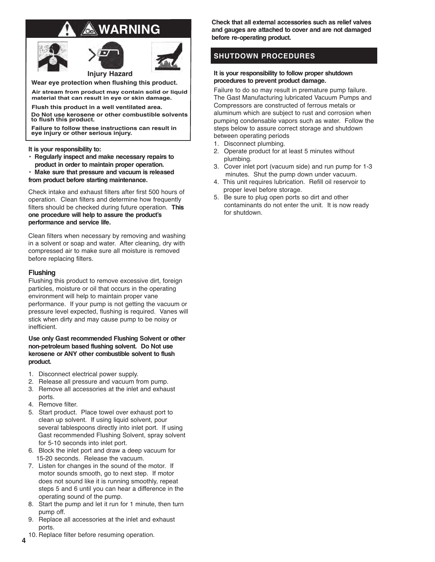# **WARNING**





**Injury Hazard Wear eye protection when flushing this product.**

**Air stream from product may contain solid or liquid material that can result in eye or skin damage.**

**Flush this product in a well ventilated area. Do Not use kerosene or other combustible solvents to flush this product.**

**Failure to follow these instructions can result in eye injury or other serious injury.**

**It is your responsibility to:**

**• Regularly inspect and make necessary repairs to product in order to maintain proper operation.**

**• Make sure that pressure and vacuum is released from product before starting maintenance.**

Check intake and exhaust filters after first 500 hours of operation. Clean filters and determine how frequently filters should be checked during future operation. **This one procedure will help to assure the product's performance and service life.**

Clean filters when necessary by removing and washing in a solvent or soap and water. After cleaning, dry with compressed air to make sure all moisture is removed before replacing filters.

#### **Flushing**

Flushing this product to remove excessive dirt, foreign particles, moisture or oil that occurs in the operating environment will help to maintain proper vane performance. If your pump is not getting the vacuum or pressure level expected, flushing is required. Vanes will stick when dirty and may cause pump to be noisy or inefficient.

**Use only Gast recommended Flushing Solvent or other non-petroleum based flushing solvent. Do Not use kerosene or ANY other combustible solvent to flush product.**

- 1. Disconnect electrical power supply.
- 2. Release all pressure and vacuum from pump.
- 3. Remove all accessories at the inlet and exhaust ports.
- 4. Remove filter.
- 5. Start product. Place towel over exhaust port to clean up solvent. If using liquid solvent, pour several tablespoons directly into inlet port. If using Gast recommended Flushing Solvent, spray solvent for 5-10 seconds into inlet port.
- 6. Block the inlet port and draw a deep vacuum for 15-20 seconds. Release the vacuum.
- 7. Listen for changes in the sound of the motor. If motor sounds smooth, go to next step. If motor does not sound like it is running smoothly, repeat steps 5 and 6 until you can hear a difference in the operating sound of the pump.
- 8. Start the pump and let it run for 1 minute, then turn pump off.
- 9. Replace all accessories at the inlet and exhaust ports.
- 10. Replace filter before resuming operation.

**Check that all external accessories such as relief valves and gauges are attached to cover and are not damaged before re-operating product.**

# **SHUTDOWN PROCEDURES**

#### **It is your responsibility to follow proper shutdown procedures to prevent product damage.**

Failure to do so may result in premature pump failure. The Gast Manufacturing lubricated Vacuum Pumps and Compressors are constructed of ferrous metals or aluminum which are subject to rust and corrosion when pumping condensable vapors such as water. Follow the steps below to assure correct storage and shutdown between operating periods

- 1. Disconnect plumbing.
- 2. Operate product for at least 5 minutes without plumbing.
- 3. Cover inlet port (vacuum side) and run pump for 1-3 minutes. Shut the pump down under vacuum.
- 4. This unit requires lubrication. Refill oil reservoir to proper level before storage.
- 5. Be sure to plug open ports so dirt and other contaminants do not enter the unit. It is now ready for shutdown.

**4**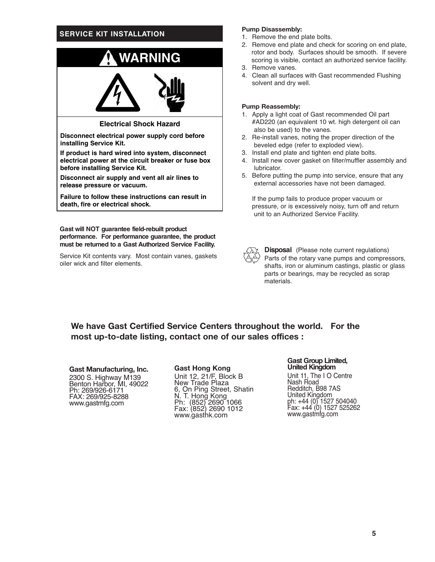## **SERVICE KIT INSTALLATION**



**Disconnect electrical power supply cord before installing Service Kit.**

**If product is hard wired into system, disconnect electrical power at the circuit breaker or fuse box before installing Service Kit.**

**Disconnect air supply and vent all air lines to release pressure or vacuum.**

**Failure to follow these instructions can result in death, fire or electrical shock.**

**Gast will NOT guarantee field-rebuilt product performance. For performance guarantee, the product must be returned to a Gast Authorized Service Facility.**

Service Kit contents vary. Most contain vanes, gaskets oiler wick and filter elements.

#### **Pump Disassembly:**

- 1. Remove the end plate bolts.
- 2. Remove end plate and check for scoring on end plate, rotor and body. Surfaces should be smooth. If severe scoring is visible, contact an authorized service facility. 3. Remove vanes.
- 
- 4. Clean all surfaces with Gast recommended Flushing solvent and dry well.

#### **Pump Reassembly:**

- 1. Apply a light coat of Gast recommended Oil part #AD220 (an equivalent 10 wt. high detergent oil can also be used) to the vanes.
- 2. Re-install vanes, noting the proper direction of the beveled edge (refer to exploded view).
- 3. Install end plate and tighten end plate bolts.
- 4. Install new cover gasket on filter/muffler assembly and lubricator.
- 5. Before putting the pump into service, ensure that any external accessories have not been damaged.

If the pump fails to produce proper vacuum or pressure, or is excessively noisy, turn off and return unit to an Authorized Service Facility.



**Disposal** (Please note current regulations) Parts of the rotary vane pumps and compressors, shafts, iron or aluminum castings, plastic or glass parts or bearings, may be recycled as scrap materials.

**We have Gast Certified Service Centers throughout the world. For the most up-to-date listing, contact one of our sales offices :**

**Gast Manufacturing, Inc.** 2300 S. Highway M139 Benton Harbor, MI, 49022 Ph: 269/926-6171 FAX: 269/925-8288 www.gastmfg.com

#### **Gast Hong Kong**

Unit 12, 21/F, Block B New Trade Plaza 6, On Ping Street, Shatin N. T. Hong Kong Ph: (852) 2690 1066 Fax: (852) 2690 1012 www.gasthk.com

**Gast Group Limited, United Kingdom**

Unit 11, The I O Centre Nash Road Redditch, B98 7AS United Kingdom ph: +44 (0) 1527 504040 Fax: +44 (0) 1527 525262 www.gastmfg.com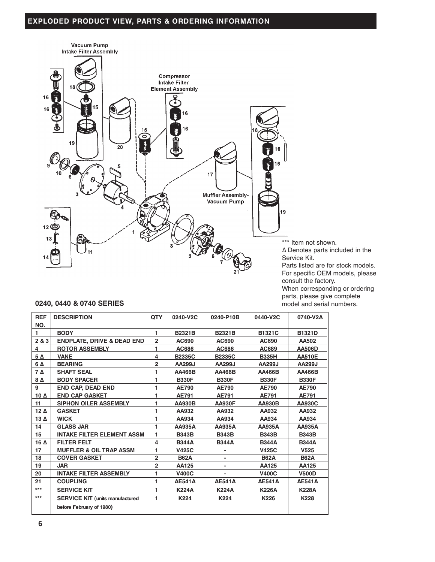# **EXPLODED PRODUCT VIEW, PARTS & ORDERING INFORMATION**



consult the factory. When corresponding or ordering parts, please give complete model and serial numbers.

## **0240, 0440 & 0740 SERIES**

| <b>REF</b>  | <b>DESCRIPTION</b>                     |                | 0240-V2C      | 0240-P10B     | 0440-V2C      | 0740-V2A         |
|-------------|----------------------------------------|----------------|---------------|---------------|---------------|------------------|
| NO.         |                                        | 1              |               |               |               |                  |
| 1           | <b>BODY</b>                            |                | B2321B        | B2321B        | <b>B1321C</b> | <b>B1321D</b>    |
| 2 & 3       | <b>ENDPLATE, DRIVE &amp; DEAD END</b>  | $\overline{2}$ | AC690         | AC690         | AC690         | AA502            |
| 4           | <b>ROTOR ASSEMBLY</b>                  | 1              | AC686         | AC686         | AC689         | <b>AA506D</b>    |
| 5Δ          | <b>VANE</b>                            | 4              | <b>B2335C</b> | <b>B2335C</b> | <b>B335H</b>  | <b>AA510E</b>    |
| 6 A         | <b>BEARING</b>                         | $\overline{2}$ | AA299J        | AA299J        | AA299J        | AA299J           |
| 7Δ          | <b>SHAFT SEAL</b>                      | 1              | AA466B        | AA466B        | AA466B        | AA466B           |
| $8\Delta$   | <b>BODY SPACER</b>                     | 1              | <b>B330F</b>  | <b>B330F</b>  | <b>B330F</b>  | <b>B330F</b>     |
| 9           | <b>END CAP. DEAD END</b>               | 1              | <b>AE790</b>  | <b>AE790</b>  | <b>AE790</b>  | <b>AE790</b>     |
| 10 $\Delta$ | <b>END CAP GASKET</b>                  | 1              | <b>AE791</b>  | <b>AE791</b>  | AE791         | <b>AE791</b>     |
| 11          | <b>SIPHON OILER ASSEMBLY</b>           | 1              | <b>AA930B</b> | <b>AA930F</b> | <b>AA930B</b> | <b>AA930C</b>    |
| $12\Delta$  | <b>GASKET</b>                          | 1              | AA932         | AA932         | AA932         | AA932            |
| 13 $\Delta$ | <b>WICK</b>                            | 1              | AA934         | AA934         | AA934         | AA934            |
| 14          | <b>GLASS JAR</b>                       | 1              | AA935A        | AA935A        | AA935A        | AA935A           |
| 15          | <b>INTAKE FILTER ELEMENT ASSM</b>      | 1              | <b>B343B</b>  | <b>B343B</b>  | <b>B343B</b>  | <b>B343B</b>     |
| 16 $\Delta$ | <b>FILTER FELT</b>                     | 4              | <b>B344A</b>  | <b>B344A</b>  | <b>B344A</b>  | <b>B344A</b>     |
| 17          | <b>MUFFLER &amp; OIL TRAP ASSM</b>     | 1              | <b>V425C</b>  |               | <b>V425C</b>  | V <sub>525</sub> |
| 18          | <b>COVER GASKET</b>                    | $\overline{2}$ | <b>B62A</b>   | ٠             | <b>B62A</b>   | <b>B62A</b>      |
| 19          | <b>JAR</b>                             | $\overline{2}$ | AA125         | -             | AA125         | AA125            |
| 20          | <b>INTAKE FILTER ASSEMBLY</b>          | 1              | <b>V400C</b>  |               | <b>V400C</b>  | <b>V500D</b>     |
| 21          | <b>COUPLING</b>                        | 1              | <b>AE541A</b> | <b>AE541A</b> | <b>AE541A</b> | <b>AE541A</b>    |
| $***$       | <b>SERVICE KIT</b>                     | 1              | <b>K224A</b>  | <b>K224A</b>  | <b>K226A</b>  | <b>K228A</b>     |
| $***$       | <b>SERVICE KIT (units manufactured</b> | 1              | K224          | K224          | K226          | K228             |
|             | before February of 1980)               |                |               |               |               |                  |
|             |                                        |                |               |               |               |                  |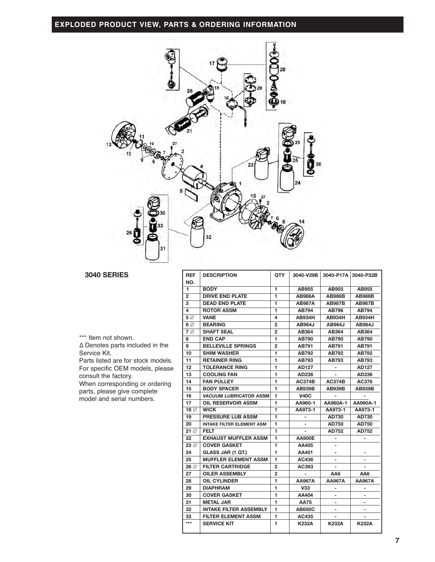**EXPLODED PRODUCT VIEW, PARTS & ORDERING INFORMATION**



## **3040 SERIES REF DESCRIPTION QTY 3040-V29B 3040-P17A 3040-P32B**

\*\*\* Item not shown. ∆ Denotes parts included in the

Service Kit.

Parts listed are for stock models. For specific OEM models, please consult the factory. When corresponding or ordering parts, please give complete model and serial numbers.

| <b>REF</b><br>NO. | <b>DESCRIPTION</b>               | QTY            | 3040-V29B     | 3040-P17A                | 3040-P32B                |
|-------------------|----------------------------------|----------------|---------------|--------------------------|--------------------------|
| 1                 | <b>BODY</b>                      | 1              | AB955         | AB955                    | AB955                    |
| $\overline{2}$    | <b>DRIVE END PLATE</b>           | 1              | <b>AB986A</b> | <b>AB986B</b>            | <b>AB986B</b>            |
| 3                 | <b>DEAD END PLATE</b>            | 1              | <b>AB987A</b> | <b>AB987B</b>            | <b>AB987B</b>            |
| 4                 | <b>ROTOR ASSM</b>                | 1              | <b>AB794</b>  | AB796                    | <b>AB794</b>             |
| $5\varnothing$    | <b>VANE</b>                      | 4              | <b>AB934H</b> | AB934H                   | AB934H                   |
| 6 $\varnothing$   | <b>BEARING</b>                   | $\mathbf{2}$   | AB964J        | AB964J                   | <b>AB964J</b>            |
| $7\varnothing$    | <b>SHAFT SEAL</b>                | $\overline{2}$ | AB364         | AB364                    | AB364                    |
| 8                 | <b>END CAP</b>                   | 1              | AB790         | AB790                    | AB790                    |
| 9                 | <b>BELLEVILLE SPRINGS</b>        | 2              | AB791         | AB791                    | AB791                    |
| 10                | <b>SHIM WASHER</b>               | 1              | AB792         | AB792                    | AB792                    |
| 11                | <b>RETAINER RING</b>             | 1              | AB793         | AB793                    | AB793                    |
| 12                | <b>TOLERANCE RING</b>            | 1              | AD127         |                          | AD127                    |
| 13                | <b>COOLING FAN</b>               | 1              | AD236         |                          | AD236                    |
| 14                | <b>FAN PULLEY</b>                | 1              | <b>AC374B</b> | <b>AC374B</b>            | AC376                    |
| 15                | <b>BODY SPACER</b>               | 1              | <b>AB939B</b> | <b>AB939B</b>            | <b>AB939B</b>            |
| 16                | <b>VACUUM LUBRICATOR ASSM</b>    | 1              | <b>V40C</b>   |                          |                          |
| 17                | OIL RESERVOIR ASSM               | 1              | AA960-1       | AA960A-1                 | AA960A-1                 |
| 18 <sup>o</sup>   | <b>WICK</b>                      | 1              | AA973-1       | AA973-1                  | AA973-1                  |
| 19                | <b>PRESSURE LUB ASSM</b>         | 1              |               | <b>AD730</b>             | AD730                    |
| 20                | <b>INTAKE FILTER ELEMENT ASM</b> | 1              |               | <b>AD750</b>             | <b>AD750</b>             |
| $21\varnothing$   | <b>FELT</b>                      | 1              |               | AD752                    | AD752                    |
| 22                | <b>EXHAUST MUFFLER ASSM</b>      | 1              | <b>AA900E</b> |                          | -                        |
| $23\%$            | <b>COVER GASKET</b>              | 1              | AA405         | -                        |                          |
| 24                | GLASS JAR (1 QT.)                | 1              | AA401         | $\overline{\phantom{0}}$ |                          |
| 25                | <b>MUFFLER ELEMENT ASSM</b>      | 1              | AC436         | $\overline{\phantom{0}}$ |                          |
| 26 ∅              | <b>FILTER CARTRIDGE</b>          | 2              | AC393         |                          |                          |
| 27                | <b>OILER ASSEMBLY</b>            | $\overline{2}$ |               | AA6                      | AA6                      |
| 28                | <b>OIL CYLINDER</b>              | 1              | <b>AA967A</b> | AA967A                   | AA967A                   |
| 29                | <b>DIAPHRAM</b>                  | 1              | <b>V33</b>    | $\overline{a}$           | $\overline{a}$           |
| 30                | <b>COVER GASKET</b>              | 1              | AA404         | -                        | $\overline{a}$           |
| 31                | <b>METAL JAR</b>                 | 1              | <b>AA75</b>   | $\overline{a}$           | $\overline{\phantom{0}}$ |
| 32                | <b>INTAKE FILTER ASSEMBLY</b>    | 1              | <b>AB650C</b> | $\overline{a}$           | $\overline{\phantom{0}}$ |
| 33                | <b>FILTER ELEMENT ASSM</b>       | 1              | AC435         |                          |                          |
| $***$             | <b>SERVICE KIT</b>               | 1              | <b>K232A</b>  | K232A                    | <b>K232A</b>             |